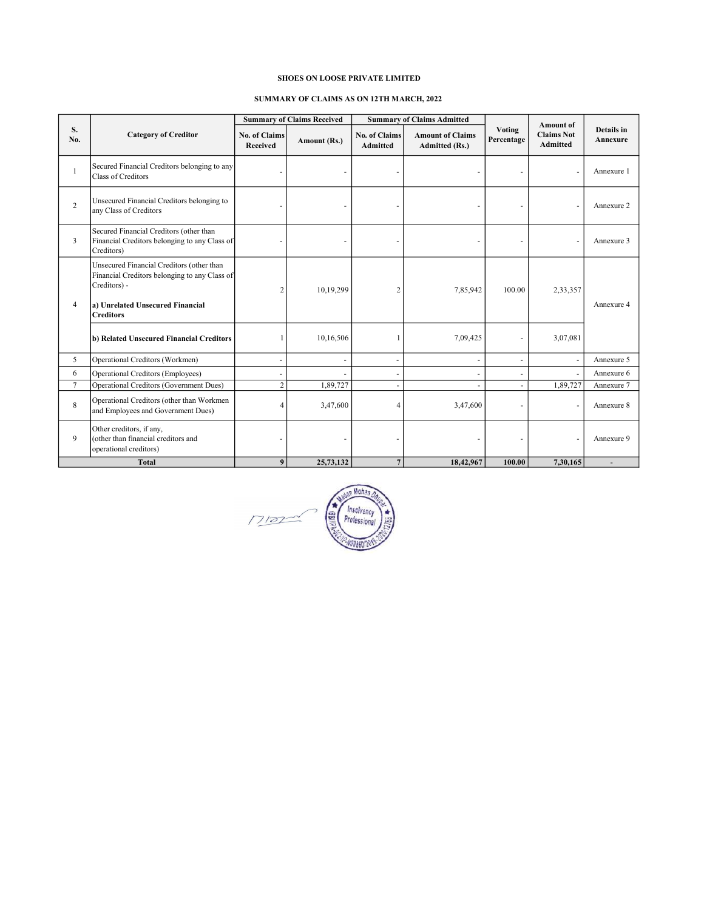## SHOES ON LOOSE PRIVATE LIMITED

## SUMMARY OF CLAIMS AS ON 12TH MARCH, 2022

|                |                                                                                                                                                |                                  | <b>Summary of Claims Received</b> |                                         | <b>Summary of Claims Admitted</b>                |                      | <b>Amount of</b>                     | Details in<br>Annexure |
|----------------|------------------------------------------------------------------------------------------------------------------------------------------------|----------------------------------|-----------------------------------|-----------------------------------------|--------------------------------------------------|----------------------|--------------------------------------|------------------------|
| S.<br>No.      | <b>Category of Creditor</b>                                                                                                                    | <b>No. of Claims</b><br>Received | Amount (Rs.)                      | <b>No. of Claims</b><br><b>Admitted</b> | <b>Amount of Claims</b><br><b>Admitted (Rs.)</b> | Voting<br>Percentage | <b>Claims Not</b><br><b>Admitted</b> |                        |
| 1              | Secured Financial Creditors belonging to any<br>Class of Creditors                                                                             |                                  |                                   |                                         |                                                  |                      |                                      | Annexure 1             |
| $\overline{c}$ | Unsecured Financial Creditors belonging to<br>any Class of Creditors                                                                           |                                  |                                   |                                         |                                                  |                      |                                      | Annexure 2             |
| 3              | Secured Financial Creditors (other than<br>Financial Creditors belonging to any Class of<br>Creditors)                                         |                                  |                                   |                                         |                                                  |                      |                                      | Annexure 3             |
| $\overline{4}$ | Unsecured Financial Creditors (other than<br>Financial Creditors belonging to any Class of<br>Creditors) -<br>a) Unrelated Unsecured Financial | $\overline{c}$                   | 10,19,299                         | $\overline{2}$                          | 7,85,942                                         | 100.00               | 2,33,357                             | Annexure 4             |
|                | <b>Creditors</b><br>b) Related Unsecured Financial Creditors                                                                                   |                                  | 10,16,506                         |                                         | 7,09,425                                         |                      | 3,07,081                             |                        |
| 5              | Operational Creditors (Workmen)                                                                                                                | $\blacksquare$                   | ä,                                | ÷,                                      | $\sim$                                           | $\sim$               |                                      | Annexure 5             |
| 6              | Operational Creditors (Employees)                                                                                                              |                                  |                                   |                                         |                                                  |                      |                                      | Annexure 6             |
| 7              | <b>Operational Creditors (Government Dues)</b>                                                                                                 | $\overline{c}$                   | 1,89,727                          |                                         |                                                  |                      | 1,89,727                             | Annexure 7             |
| 8              | Operational Creditors (other than Workmen<br>and Employees and Government Dues)                                                                | 4                                | 3,47,600                          | $\overline{4}$                          | 3,47,600                                         |                      |                                      | Annexure 8             |
| 9              | Other creditors, if any,<br>(other than financial creditors and<br>operational creditors)                                                      |                                  |                                   |                                         |                                                  |                      |                                      | Annexure 9             |
|                | <b>Total</b>                                                                                                                                   | 9                                | 25,73,132                         | $7\phantom{.0}$                         | 18,42,967                                        | 100.00               | 7,30,165                             |                        |

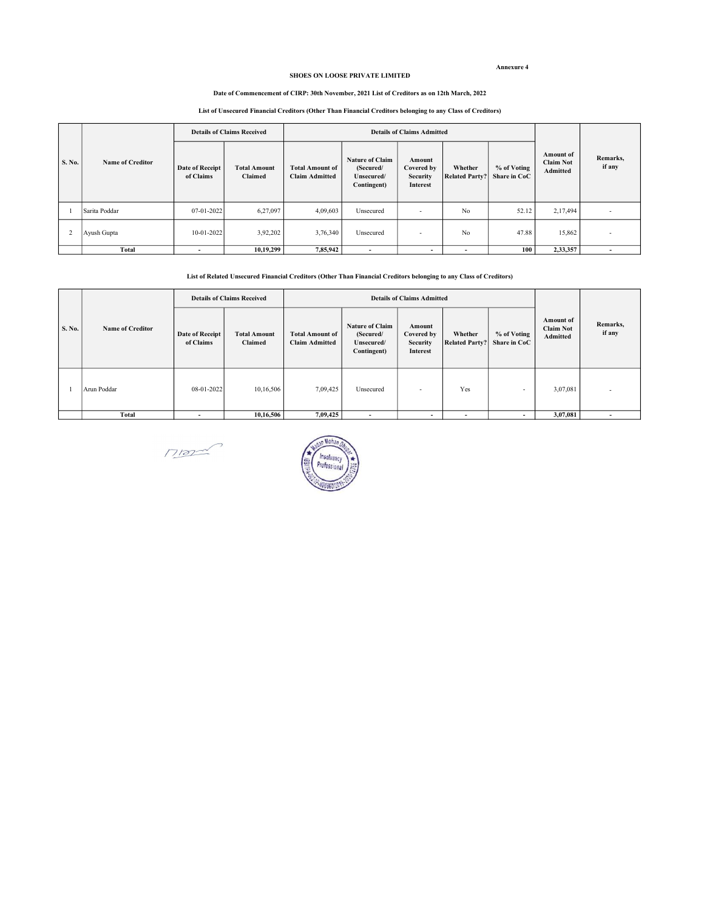#### Annexure 4

#### SHOES ON LOOSE PRIVATE LIMITED

#### Date of Commencement of CIRP: 30th November, 2021 List of Creditors as on 12th March, 2022

# List of Unsecured Financial Creditors (Other Than Financial Creditors belonging to any Class of Creditors)

| S. No. |                  | <b>Details of Claims Received</b>   |                                |                                                 | <b>Details of Claims Admitted</b>                                |                                                            |                                  |                             |                                                  |                          |
|--------|------------------|-------------------------------------|--------------------------------|-------------------------------------------------|------------------------------------------------------------------|------------------------------------------------------------|----------------------------------|-----------------------------|--------------------------------------------------|--------------------------|
|        | Name of Creditor | <b>Date of Receipt</b><br>of Claims | <b>Total Amount</b><br>Claimed | <b>Total Amount of</b><br><b>Claim Admitted</b> | <b>Nature of Claim</b><br>(Secured/<br>Unsecured/<br>Contingent) | Amount<br>Covered by<br><b>Security</b><br><b>Interest</b> | Whether<br><b>Related Party?</b> | % of Voting<br>Share in CoC | <b>Amount of</b><br><b>Claim Not</b><br>Admitted | Remarks,<br>if any       |
|        | Sarita Poddar    | 07-01-2022                          | 6,27,097                       | 4,09,603                                        | Unsecured                                                        | $\overline{\phantom{a}}$                                   | No                               | 52.12                       | 2,17,494                                         | $\overline{\phantom{a}}$ |
|        | Ayush Gupta      | 10-01-2022                          | 3,92,202                       | 3,76,340                                        | Unsecured                                                        | $\overline{\phantom{a}}$                                   | No                               | 47.88                       | 15,862                                           | $\overline{\phantom{a}}$ |
|        | <b>Total</b>     | ۰                                   | 10,19,299                      | 7,85,942                                        | ۰                                                                | $\overline{\phantom{a}}$                                   | $\overline{\phantom{a}}$         | 100                         | 2,33,357                                         |                          |

#### List of Related Unsecured Financial Creditors (Other Than Financial Creditors belonging to any Class of Creditors)

| S. No. |                         | <b>Details of Claims Received</b>   |                                |                                                 | <b>Details of Claims Admitted</b>                                |                                                     |                                  |                             |                                           |                    |
|--------|-------------------------|-------------------------------------|--------------------------------|-------------------------------------------------|------------------------------------------------------------------|-----------------------------------------------------|----------------------------------|-----------------------------|-------------------------------------------|--------------------|
|        | <b>Name of Creditor</b> | <b>Date of Receipt</b><br>of Claims | <b>Total Amount</b><br>Claimed | <b>Total Amount of</b><br><b>Claim Admitted</b> | <b>Nature of Claim</b><br>(Secured/<br>Unsecured/<br>Contingent) | Amount<br>Covered by<br><b>Security</b><br>Interest | Whether<br><b>Related Party?</b> | % of Voting<br>Share in CoC | Amount of<br><b>Claim Not</b><br>Admitted | Remarks,<br>if any |
|        | Arun Poddar             | 08-01-2022                          | 10,16,506                      | 7,09,425                                        | Unsecured                                                        | $\overline{\phantom{a}}$                            | Yes                              | $\overline{\phantom{a}}$    | 3,07,081                                  |                    |
|        | Total                   | $\overline{\phantom{a}}$            | 10,16,506                      | 7,09,425                                        | $\overline{\phantom{a}}$                                         | $\overline{\phantom{a}}$                            | $\overline{\phantom{0}}$         | $\overline{\phantom{a}}$    | 3,07,081                                  |                    |

 $MSE$ 

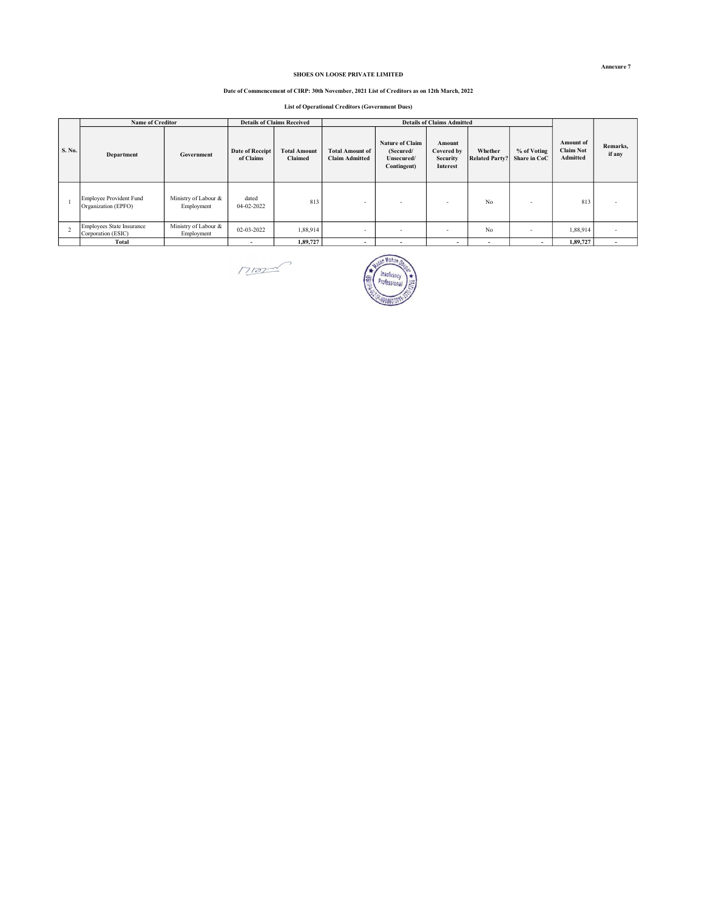#### SHOES ON LOOSE PRIVATE LIMITED

#### Date of Commencement of CIRP: 30th November, 2021 List of Creditors as on 12th March, 2022

List of Operational Creditors (Government Dues)

|                          | <b>Name of Creditor</b>                               |                                    | <b>Details of Claims Received</b> |                                |                                                 |                                                                  |                                                            |                                  |                             |                                                  |                          |
|--------------------------|-------------------------------------------------------|------------------------------------|-----------------------------------|--------------------------------|-------------------------------------------------|------------------------------------------------------------------|------------------------------------------------------------|----------------------------------|-----------------------------|--------------------------------------------------|--------------------------|
| S. No.                   | Department                                            | Government                         | Date of Receipt<br>of Claims      | <b>Total Amount</b><br>Claimed | <b>Total Amount of</b><br><b>Claim Admitted</b> | <b>Nature of Claim</b><br>(Secured/<br>Unsecured/<br>Contingent) | Amount<br>Covered by<br><b>Security</b><br><b>Interest</b> | Whether<br><b>Related Party?</b> | % of Voting<br>Share in CoC | <b>Amount of</b><br><b>Claim Not</b><br>Admitted | Remarks,<br>if any       |
|                          | <b>Employee Provident Fund</b><br>Organization (EPFO) | Ministry of Labour &<br>Employment | dated<br>04-02-2022               | 813                            | $\sim$                                          | -                                                                | -                                                          | No                               |                             | 813                                              |                          |
| $\overline{\phantom{a}}$ | Employees State Insurance<br>Corporation (ESIC)       | Ministry of Labour &<br>Employment | 02-03-2022                        | 1,88,914                       | $\overline{\phantom{a}}$                        | $\overline{\phantom{a}}$                                         | $\sim$                                                     | No                               | $\overline{a}$              | 1,88,914                                         |                          |
|                          | Total                                                 |                                    | $\overline{\phantom{a}}$          | 1,89,727                       |                                                 | $\overline{\phantom{a}}$                                         | $\overline{\phantom{a}}$                                   | $\overline{\phantom{a}}$         | $\overline{\phantom{a}}$    | 1,89,727                                         | $\overline{\phantom{a}}$ |

Mor



Annexure 7